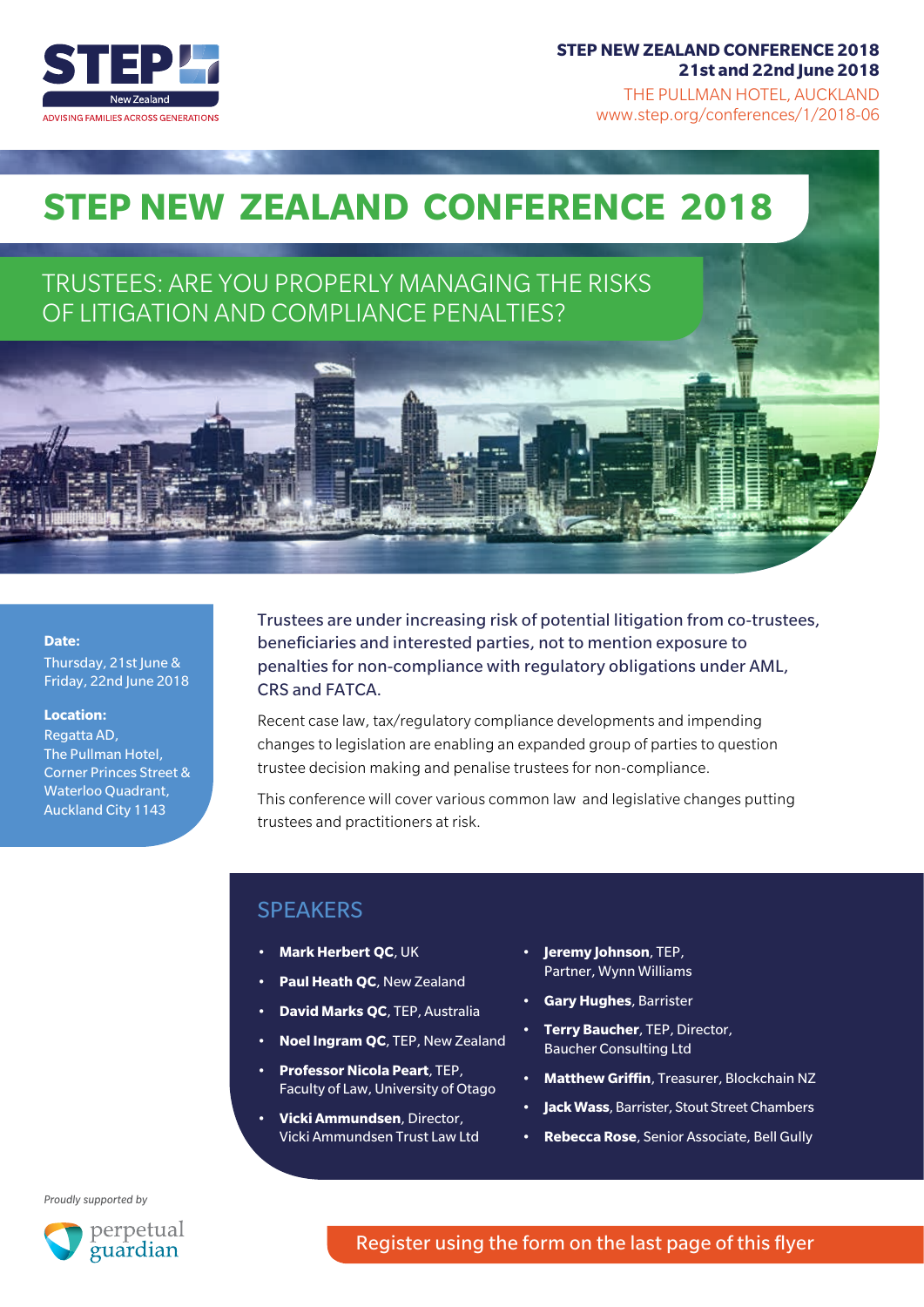

#### **STEP NEW ZEALAND CONFERENCE 2018 21st and 22nd June 2018**

THE PULLMAN HOTEL, AUCKLAND www.step.org/conferences/1/2018-06

# **STEP NEW ZEALAND CONFERENCE 2018**

# TRUSTEES: ARE YOU PROPERLY MANAGING THE RISKS OF LITIGATION AND COMPLIANCE PENALTIES?



#### **Date:**

Thursday, 21st June & Friday, 22nd June 2018

#### **Location:**

Regatta AD, The Pullman Hotel, Corner Princes Street & Waterloo Quadrant, Auckland City 1143

Trustees are under increasing risk of potential litigation from co-trustees, beneficiaries and interested parties, not to mention exposure to penalties for non-compliance with regulatory obligations under AML, CRS and FATCA.

Recent case law, tax/regulatory compliance developments and impending changes to legislation are enabling an expanded group of parties to question trustee decision making and penalise trustees for non-compliance.

This conference will cover various common law and legislative changes putting trustees and practitioners at risk.

### **SPEAKERS**

- **Mark Herbert QC**, UK
- **Paul Heath QC**, New Zealand
- **David Marks QC**, TEP, Australia
- **Noel Ingram QC**, TEP, New Zealand
- **Professor Nicola Peart**, TEP, Faculty of Law, University of Otago
- **Vicki Ammundsen**, Director, Vicki Ammundsen Trust Law Ltd
- **Jeremy Johnson**, TEP, Partner, Wynn Williams
- **Gary Hughes**, Barrister
- **Terry Baucher**, TEP, Director, Baucher Consulting Ltd
- **Matthew Griffin**, Treasurer, Blockchain NZ
- **Jack Wass**, Barrister, Stout Street Chambers
- **Rebecca Rose**, Senior Associate, Bell Gully

*Proudly supported by*



Register using the form on the last page of this flyer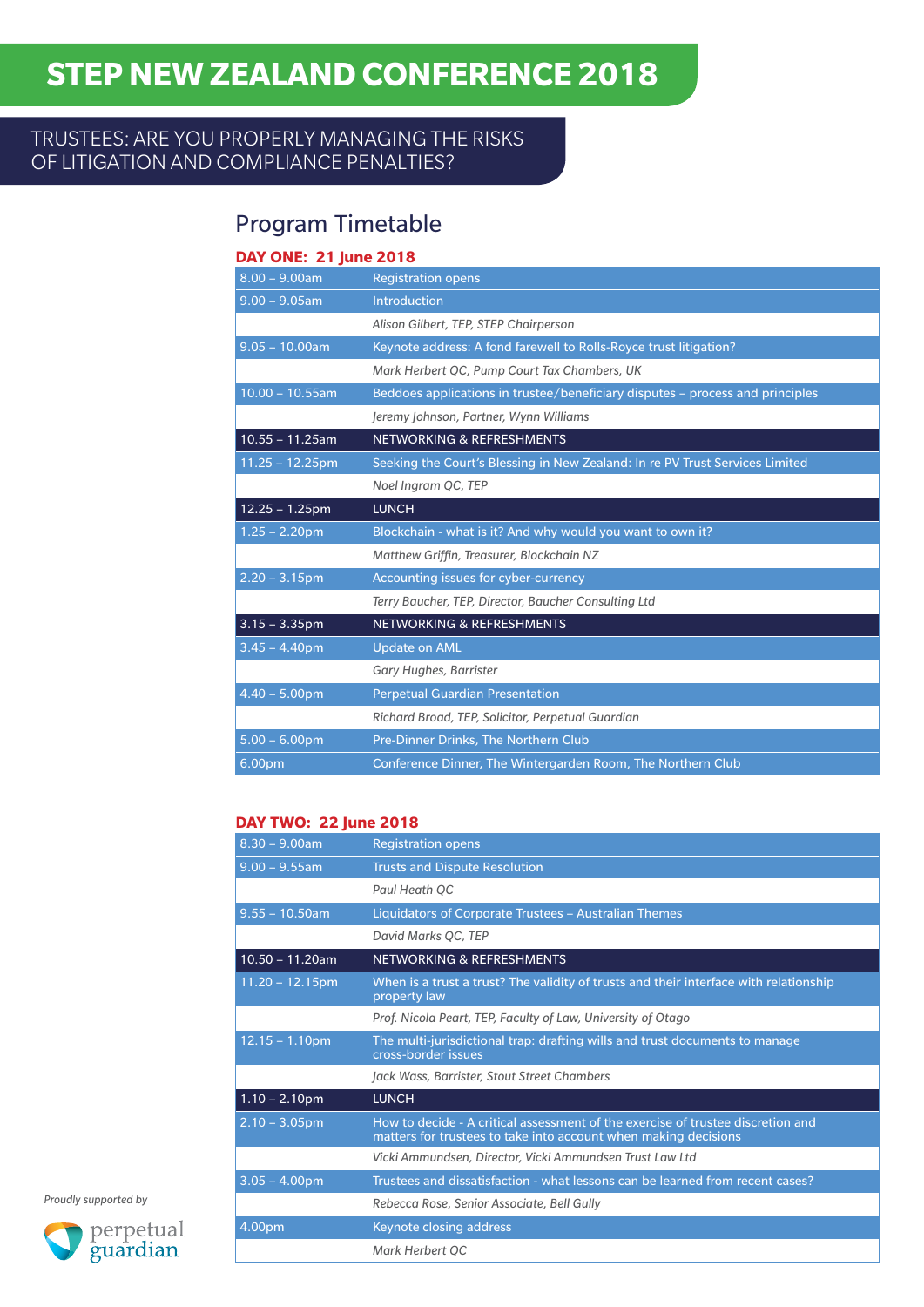### TRUSTEES: ARE YOU PROPERLY MANAGING THE RISKS OF LITIGATION AND COMPLIANCE PENALTIES?

# Program Timetable

#### **DAY ONE: 21 June 2018**

| $8.00 - 9.00$ am   | <b>Registration opens</b>                                                     |
|--------------------|-------------------------------------------------------------------------------|
| $9.00 - 9.05$ am   | <b>Introduction</b>                                                           |
|                    | Alison Gilbert, TEP, STEP Chairperson                                         |
| $9.05 - 10.00am$   | Keynote address: A fond farewell to Rolls-Royce trust litigation?             |
|                    | Mark Herbert QC, Pump Court Tax Chambers, UK                                  |
| $10.00 - 10.55$ am | Beddoes applications in trustee/beneficiary disputes – process and principles |
|                    | Jeremy Johnson, Partner, Wynn Williams                                        |
| $10.55 - 11.25$ am | <b>NETWORKING &amp; REFRESHMENTS</b>                                          |
| $11.25 - 12.25$ pm | Seeking the Court's Blessing in New Zealand: In re PV Trust Services Limited  |
|                    | Noel Ingram QC, TEP                                                           |
| $12.25 - 1.25$ pm  | <b>LUNCH</b>                                                                  |
| $1.25 - 2.20$ pm   | Blockchain - what is it? And why would you want to own it?                    |
|                    | Matthew Griffin, Treasurer, Blockchain NZ                                     |
| $2.20 - 3.15$ pm   | Accounting issues for cyber-currency                                          |
|                    | Terry Baucher, TEP, Director, Baucher Consulting Ltd                          |
| $3.15 - 3.35$ pm   | <b>NETWORKING &amp; REFRESHMENTS</b>                                          |
| $3.45 - 4.40$ pm   | <b>Update on AML</b>                                                          |
|                    | Gary Hughes, Barrister                                                        |
| $4.40 - 5.00$ pm   | <b>Perpetual Guardian Presentation</b>                                        |
|                    | Richard Broad, TEP, Solicitor, Perpetual Guardian                             |
|                    |                                                                               |
| $5.00 - 6.00$ pm   | Pre-Dinner Drinks, The Northern Club                                          |

#### **DAY TWO: 22 June 2018**

| $8.30 - 9.00am$    | <b>Registration opens</b>                                                                                                                          |
|--------------------|----------------------------------------------------------------------------------------------------------------------------------------------------|
| $9.00 - 9.55$ am   | <b>Trusts and Dispute Resolution</b>                                                                                                               |
|                    | Paul Heath QC                                                                                                                                      |
| $9.55 - 10.50$ am  | Liquidators of Corporate Trustees - Australian Themes                                                                                              |
|                    | David Marks OC, TEP                                                                                                                                |
| $10.50 - 11.20$ am | <b>NETWORKING &amp; REFRESHMENTS</b>                                                                                                               |
| $11.20 - 12.15$ pm | When is a trust a trust? The validity of trusts and their interface with relationship<br>property law                                              |
|                    | Prof. Nicola Peart, TEP, Faculty of Law, University of Otago                                                                                       |
| $12.15 - 1.10$ pm  | The multi-jurisdictional trap: drafting wills and trust documents to manage<br>cross-border issues                                                 |
|                    | Jack Wass, Barrister, Stout Street Chambers                                                                                                        |
| $1.10 - 2.10$ pm   | <b>LUNCH</b>                                                                                                                                       |
| $2.10 - 3.05$ pm   | How to decide - A critical assessment of the exercise of trustee discretion and<br>matters for trustees to take into account when making decisions |
|                    | Vicki Ammundsen, Director, Vicki Ammundsen Trust Law Ltd                                                                                           |
| $3.05 - 4.00$ pm   | Trustees and dissatisfaction - what lessons can be learned from recent cases?                                                                      |
|                    | Rebecca Rose, Senior Associate, Bell Gully                                                                                                         |
| 4.00pm             | Keynote closing address                                                                                                                            |
|                    | Mark Herbert OC                                                                                                                                    |

*Proudly supported by*